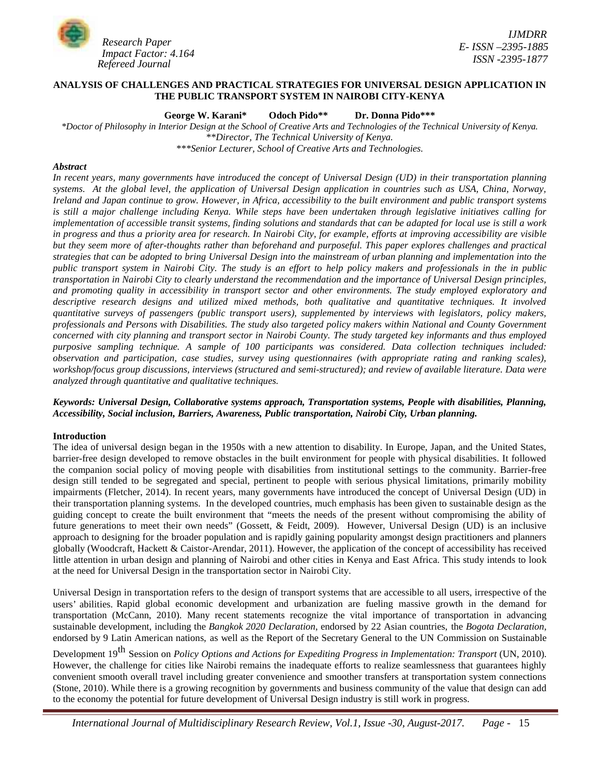

## **ANALYSIS OF CHALLENGES AND PRACTICAL STRATEGIES FOR UNIVERSAL DESIGN APPLICATION IN THE PUBLIC TRANSPORT SYSTEM IN NAIROBI CITY-KENYA**

**George W. Karani\* Odoch Pido\*\* Dr. Donna Pido\*\*\***

*\*Doctor of Philosophy in Interior Design at the School of Creative Arts and Technologies of the Technical University of Kenya. \*\*Director, The Technical University of Kenya. \*\*\*Senior Lecturer, School of Creative Arts and Technologies.*

## *Abstract*

*In recent years, many governments have introduced the concept of Universal Design (UD) in their transportation planning systems. At the global level, the application of Universal Design application in countries such as USA, China, Norway, Ireland and Japan continue to grow. However, in Africa, accessibility to the built environment and public transport systems is still a major challenge including Kenya. While steps have been undertaken through legislative initiatives calling for implementation of accessible transit systems, finding solutions and standards that can be adapted for local use is still a work in progress and thus a priority area for research. In Nairobi City, for example, efforts at improving accessibility are visible but they seem more of after-thoughts rather than beforehand and purposeful. This paper explores challenges and practical strategies that can be adopted to bring Universal Design into the mainstream of urban planning and implementation into the public transport system in Nairobi City. The study is an effort to help policy makers and professionals in the in public transportation in Nairobi City to clearly understand the recommendation and the importance of Universal Design principles, and promoting quality in accessibility in transport sector and other environments. The study employed exploratory and descriptive research designs and utilized mixed methods, both qualitative and quantitative techniques. It involved quantitative surveys of passengers (public transport users), supplemented by interviews with legislators, policy makers, professionals and Persons with Disabilities. The study also targeted policy makers within National and County Government concerned with city planning and transport sector in Nairobi County. The study targeted key informants and thus employed purposive sampling technique. A sample of 100 participants was considered. Data collection techniques included: observation and participation, case studies, survey using questionnaires (with appropriate rating and ranking scales), workshop/focus group discussions, interviews (structured and semi-structured); and review of available literature. Data were analyzed through quantitative and qualitative techniques.*

# *Keywords: Universal Design, Collaborative systems approach, Transportation systems, People with disabilities, Planning, Accessibility, Social inclusion, Barriers, Awareness, Public transportation, Nairobi City, Urban planning.*

#### **Introduction**

The idea of universal design began in the 1950s with a new attention to disability. In Europe, Japan, and the United States, barrier-free design developed to remove obstacles in the built environment for people with physical disabilities. It followed the companion social policy of moving people with disabilities from institutional settings to the community. Barrier-free design still tended to be segregated and special, pertinent to people with serious physical limitations, primarily mobility impairments (Fletcher, 2014). In recent years, many governments have introduced the concept of Universal Design (UD) in their transportation planning systems. In the developed countries, much emphasis has been given to sustainable design as the guiding concept to create the built environment that "meets the needs of the present without compromising the ability of future generations to meet their own needs" (Gossett, & Feidt, 2009). However, Universal Design (UD) is an inclusive approach to designing for the broader population and is rapidly gaining popularity amongst design practitioners and planners globally (Woodcraft, Hackett & Caistor-Arendar, 2011). However, the application of the concept of accessibility has received little attention in urban design and planning of Nairobi and other cities in Kenya and East Africa. This study intends to look at the need for Universal Design in the transportation sector in Nairobi City.

Universal Design in transportation refers to the design of transport systems that are accessible to all users, irrespective of the users' abilities. Rapid global economic development and urbanization are fueling massive growth in the demand for transportation (McCann, 2010). Many recent statements recognize the vital importance of transportation in advancing sustainable development, including the *Bangkok 2020 Declaration*, endorsed by 22 Asian countries, the *Bogota Declaration*, endorsed by 9 Latin American nations, as well as the Report of the Secretary General to the UN Commission on Sustainable

Development 19 th Session on *Policy Options and Actions for Expediting Progress in Implementation: Transport* (UN, 2010). However, the challenge for cities like Nairobi remains the inadequate efforts to realize seamlessness that guarantees highly convenient smooth overall travel including greater convenience and smoother transfers at transportation system connections (Stone, 2010). While there is a growing recognition by governments and business community of the value that design can add to the economy the potential for future development of Universal Design industry is still work in progress.

*International Journal of Multidisciplinary Research Review, Vol.1, Issue -30, August-2017. Page -* 15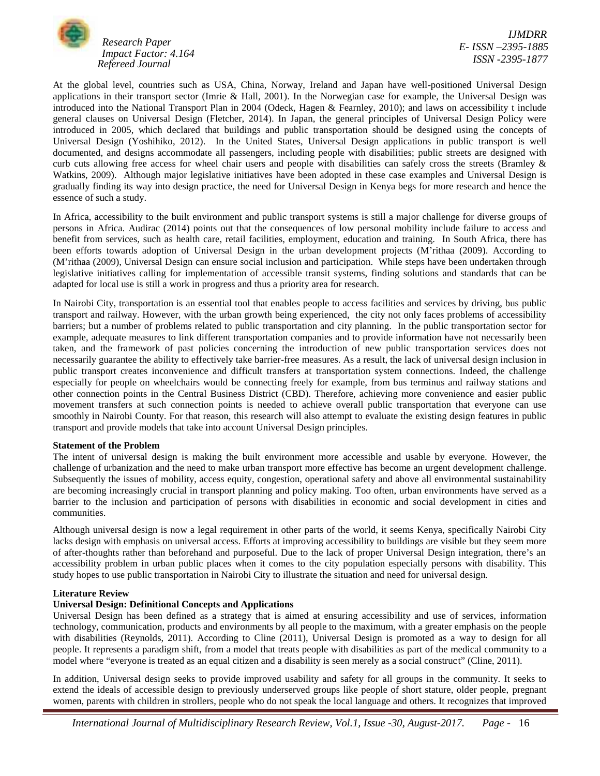

At the global level, countries such as USA, China, Norway, Ireland and Japan have well-positioned Universal Design applications in their transport sector (Imrie & Hall, 2001). In the Norwegian case for example, the Universal Design was introduced into the National Transport Plan in 2004 (Odeck, Hagen & Fearnley, 2010); and laws on accessibility t include general clauses on Universal Design (Fletcher, 2014). In Japan, the general principles of Universal Design Policy were introduced in 2005, which declared that buildings and public transportation should be designed using the concepts of Universal Design (Yoshihiko, 2012). In the United States, Universal Design applications in public transport is well documented, and designs accommodate all passengers, including people with disabilities; public streets are designed with curb cuts allowing free access for wheel chair users and people with disabilities can safely cross the streets (Bramley & Watkins, 2009). Although major legislative initiatives have been adopted in these case examples and Universal Design is gradually finding its way into design practice, the need for Universal Design in Kenya begs for more research and hence the essence of such a study.

In Africa, accessibility to the built environment and public transport systems is still a major challenge for diverse groups of persons in Africa. Audirac (2014) points out that the consequences of low personal mobility include failure to access and benefit from services, such as health care, retail facilities, employment, education and training. In South Africa, there has been efforts towards adoption of Universal Design in the urban development projects (M'rithaa (2009). According to (M'rithaa (2009), Universal Design can ensure social inclusion and participation. While steps have been undertaken through legislative initiatives calling for implementation of accessible transit systems, finding solutions and standards that can be adapted for local use is still a work in progress and thus a priority area for research.

In Nairobi City, transportation is an essential tool that enables people to access facilities and services by driving, bus public transport and railway. However, with the urban growth being experienced, the city not only faces problems of accessibility barriers; but a number of problems related to public transportation and city planning. In the public transportation sector for example, adequate measures to link different transportation companies and to provide information have not necessarily been taken, and the framework of past policies concerning the introduction of new public transportation services does not necessarily guarantee the ability to effectively take barrier-free measures. As a result, the lack of universal design inclusion in public transport creates inconvenience and difficult transfers at transportation system connections. Indeed, the challenge especially for people on wheelchairs would be connecting freely for example, from bus terminus and railway stations and other connection points in the Central Business District (CBD). Therefore, achieving more convenience and easier public movement transfers at such connection points is needed to achieve overall public transportation that everyone can use smoothly in Nairobi County. For that reason, this research will also attempt to evaluate the existing design features in public transport and provide models that take into account Universal Design principles.

### **Statement of the Problem**

The intent of universal design is making the built environment more accessible and usable by everyone. However, the challenge of urbanization and the need to make urban transport more effective has become an urgent development challenge. Subsequently the issues of mobility, access equity, congestion, operational safety and above all environmental sustainability are becoming increasingly crucial in transport planning and policy making. Too often, urban environments have served as a barrier to the inclusion and participation of persons with disabilities in economic and social development in cities and communities.

Although universal design is now a legal requirement in other parts of the world, it seems Kenya, specifically Nairobi City lacks design with emphasis on universal access. Efforts at improving accessibility to buildings are visible but they seem more of after-thoughts rather than beforehand and purposeful. Due to the lack of proper Universal Design integration, there's an accessibility problem in urban public places when it comes to the city population especially persons with disability. This study hopes to use public transportation in Nairobi City to illustrate the situation and need for universal design.

### **Literature Review**

#### **Universal Design: Definitional Concepts and Applications**

Universal Design has been defined as a strategy that is aimed at ensuring accessibility and use of services, information technology, communication, products and environments by all people to the maximum, with a greater emphasis on the people with disabilities (Reynolds, 2011). According to Cline (2011), Universal Design is promoted as a way to design for all people. It represents a paradigm shift, from a model that treats people with disabilities as part of the medical community to a model where "everyone is treated as an equal citizen and a disability is seen merely as a social construct" (Cline, 2011).

In addition, Universal design seeks to provide improved usability and safety for all groups in the community. It seeks to extend the ideals of accessible design to previously underserved groups like people of short stature, older people, pregnant women, parents with children in strollers, people who do not speak the local language and others. It recognizes that improved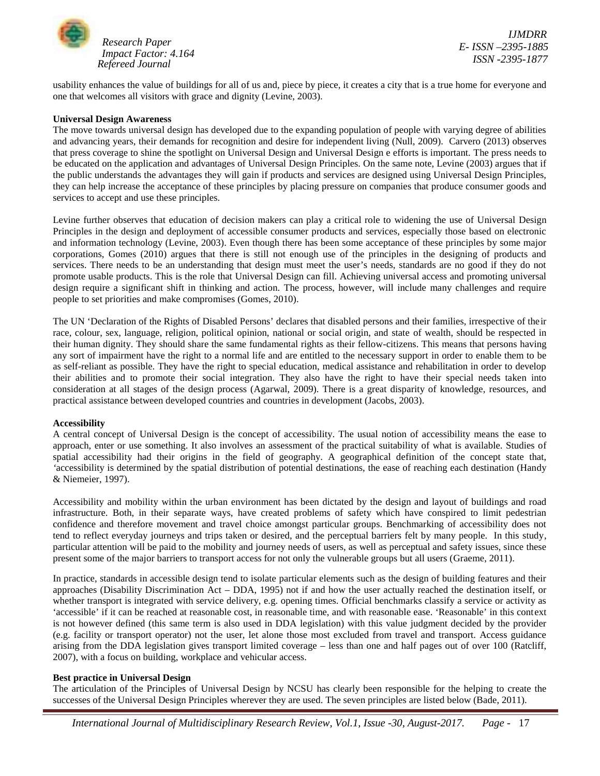

*IJMDRR E- ISSN –2395-1885 ISSN -2395-1877*

usability enhances the value of buildings for all of us and, piece by piece, it creates a city that is a true home for everyone and one that welcomes all visitors with grace and dignity (Levine, 2003).

## **Universal Design Awareness**

The move towards universal design has developed due to the expanding population of people with varying degree of abilities and advancing years, their demands for recognition and desire for independent living (Null, 2009). Carvero (2013) observes that press coverage to shine the spotlight on Universal Design and Universal Design e efforts is important. The press needs to be educated on the application and advantages of Universal Design Principles. On the same note, Levine (2003) argues that if the public understands the advantages they will gain if products and services are designed using Universal Design Principles, they can help increase the acceptance of these principles by placing pressure on companies that produce consumer goods and services to accept and use these principles.

Levine further observes that education of decision makers can play a critical role to widening the use of Universal Design Principles in the design and deployment of accessible consumer products and services, especially those based on electronic and information technology (Levine, 2003). Even though there has been some acceptance of these principles by some major corporations, Gomes (2010) argues that there is still not enough use of the principles in the designing of products and services. There needs to be an understanding that design must meet the user's needs, standards are no good if they do not promote usable products. This is the role that Universal Design can fill. Achieving universal access and promoting universal design require a significant shift in thinking and action. The process, however, will include many challenges and require people to set priorities and make compromises (Gomes, 2010).

The UN 'Declaration of the Rights of Disabled Persons' declares that disabled persons and their families, irrespective of their race, colour, sex, language, religion, political opinion, national or social origin, and state of wealth, should be respected in their human dignity. They should share the same fundamental rights as their fellow-citizens. This means that persons having any sort of impairment have the right to a normal life and are entitled to the necessary support in order to enable them to be as self-reliant as possible. They have the right to special education, medical assistance and rehabilitation in order to develop their abilities and to promote their social integration. They also have the right to have their special needs taken into consideration at all stages of the design process (Agarwal, 2009). There is a great disparity of knowledge, resources, and practical assistance between developed countries and countries in development (Jacobs, 2003).

#### **Accessibility**

A central concept of Universal Design is the concept of accessibility. The usual notion of accessibility means the ease to approach, enter or use something. It also involves an assessment of the practical suitability of what is available. Studies of spatial accessibility had their origins in the field of geography. A geographical definition of the concept state that, *'*accessibility is determined by the spatial distribution of potential destinations, the ease of reaching each destination (Handy & Niemeier, 1997).

Accessibility and mobility within the urban environment has been dictated by the design and layout of buildings and road infrastructure. Both, in their separate ways, have created problems of safety which have conspired to limit pedestrian confidence and therefore movement and travel choice amongst particular groups. Benchmarking of accessibility does not tend to reflect everyday journeys and trips taken or desired, and the perceptual barriers felt by many people. In this study, particular attention will be paid to the mobility and journey needs of users, as well as perceptual and safety issues, since these present some of the major barriers to transport access for not only the vulnerable groups but all users (Graeme, 2011).

In practice, standards in accessible design tend to isolate particular elements such as the design of building features and their approaches (Disability Discrimination Act – DDA, 1995) not if and how the user actually reached the destination itself, or whether transport is integrated with service delivery, e.g. opening times. Official benchmarks classify a service or activity as 'accessible' if it can be reached at reasonable cost, in reasonable time, and with reasonable ease. 'Reasonable' in this context is not however defined (this same term is also used in DDA legislation) with this value judgment decided by the provider (e.g. facility or transport operator) not the user, let alone those most excluded from travel and transport. Access guidance arising from the DDA legislation gives transport limited coverage – less than one and half pages out of over 100 (Ratcliff, 2007), with a focus on building, workplace and vehicular access.

#### **Best practice in Universal Design**

The articulation of the Principles of Universal Design by NCSU has clearly been responsible for the helping to create the successes of the Universal Design Principles wherever they are used. The seven principles are listed below (Bade, 2011).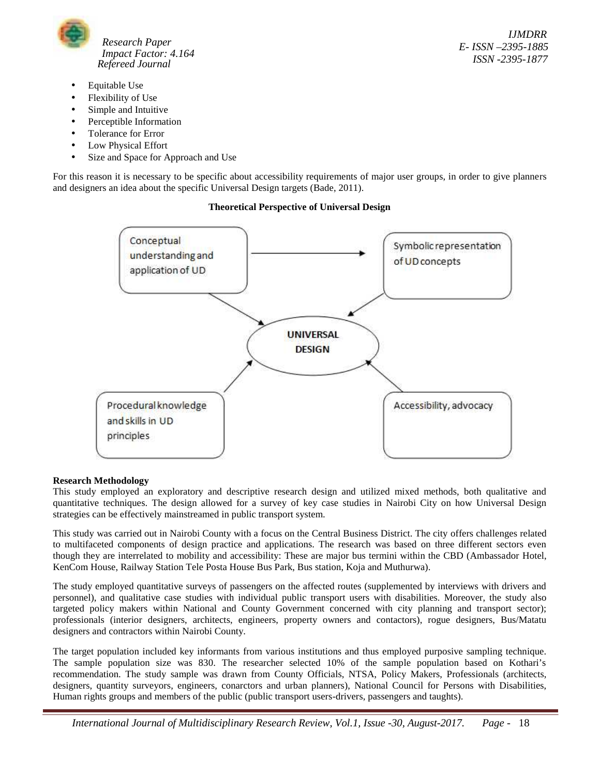

- Equitable Use
- Flexibility of Use
- Simple and Intuitive
- Perceptible Information
- Tolerance for Error
- Low Physical Effort
- Size and Space for Approach and Use

For this reason it is necessary to be specific about accessibility requirements of major user groups, in order to give planners and designers an idea about the specific Universal Design targets (Bade, 2011).

# **Theoretical Perspective of Universal Design**



# **Research Methodology**

This study employed an exploratory and descriptive research design and utilized mixed methods, both qualitative and quantitative techniques. The design allowed for a survey of key case studies in Nairobi City on how Universal Design strategies can be effectively mainstreamed in public transport system.

This study was carried out in Nairobi County with a focus on the Central Business District. The city offers challenges related to multifaceted components of design practice and applications. The research was based on three different sectors even though they are interrelated to mobility and accessibility: These are major bus termini within the CBD (Ambassador Hotel, KenCom House, Railway Station Tele Posta House Bus Park, Bus station, Koja and Muthurwa).

The study employed quantitative surveys of passengers on the affected routes (supplemented by interviews with drivers and personnel), and qualitative case studies with individual public transport users with disabilities. Moreover, the study also targeted policy makers within National and County Government concerned with city planning and transport sector); professionals (interior designers, architects, engineers, property owners and contactors), rogue designers, Bus/Matatu designers and contractors within Nairobi County.

The target population included key informants from various institutions and thus employed purposive sampling technique. The sample population size was 830. The researcher selected 10% of the sample population based on Kothari's recommendation. The study sample was drawn from County Officials, NTSA, Policy Makers, Professionals (architects, designers, quantity surveyors, engineers, conarctors and urban planners), National Council for Persons with Disabilities, Human rights groups and members of the public (public transport users-drivers, passengers and taughts).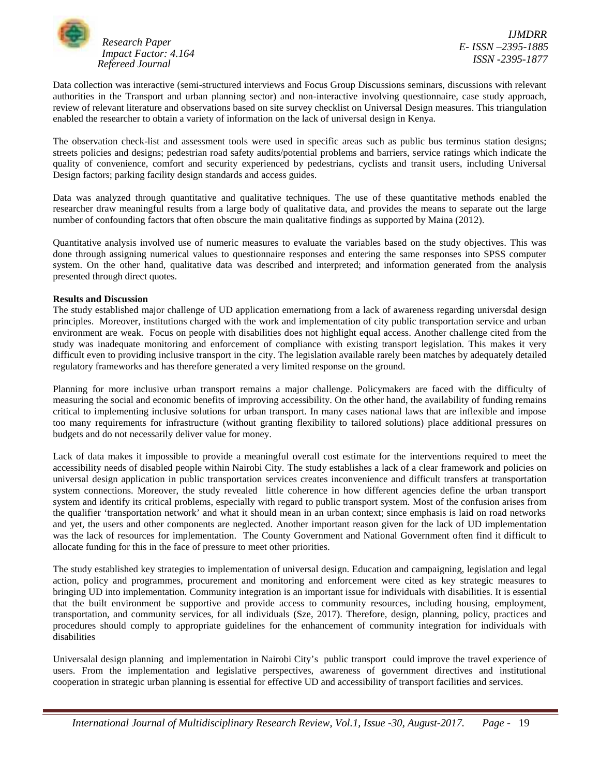

Data collection was interactive (semi-structured interviews and Focus Group Discussions seminars, discussions with relevant authorities in the Transport and urban planning sector) and non-interactive involving questionnaire, case study approach, review of relevant literature and observations based on site survey checklist on Universal Design measures. This triangulation enabled the researcher to obtain a variety of information on the lack of universal design in Kenya.

The observation check-list and assessment tools were used in specific areas such as public bus terminus station designs; streets policies and designs; pedestrian road safety audits/potential problems and barriers, service ratings which indicate the quality of convenience, comfort and security experienced by pedestrians, cyclists and transit users, including Universal Design factors; parking facility design standards and access guides.

Data was analyzed through quantitative and qualitative techniques. The use of these quantitative methods enabled the researcher draw meaningful results from a large body of qualitative data, and provides the means to separate out the large number of confounding factors that often obscure the main qualitative findings as supported by Maina (2012).

Quantitative analysis involved use of numeric measures to evaluate the variables based on the study objectives. This was done through assigning numerical values to questionnaire responses and entering the same responses into SPSS computer system. On the other hand, qualitative data was described and interpreted; and information generated from the analysis presented through direct quotes.

## **Results and Discussion**

The study established major challenge of UD application emernationg from a lack of awareness regarding universdal design principles. Moreover, institutions charged with the work and implementation of city public transportation service and urban environment are weak. Focus on people with disabilities does not highlight equal access. Another challenge cited from the study was inadequate monitoring and enforcement of compliance with existing transport legislation. This makes it very difficult even to providing inclusive transport in the city. The legislation available rarely been matches by adequately detailed regulatory frameworks and has therefore generated a very limited response on the ground.

Planning for more inclusive urban transport remains a major challenge. Policymakers are faced with the difficulty of measuring the social and economic benefits of improving accessibility. On the other hand, the availability of funding remains critical to implementing inclusive solutions for urban transport. In many cases national laws that are inflexible and impose too many requirements for infrastructure (without granting flexibility to tailored solutions) place additional pressures on budgets and do not necessarily deliver value for money.

Lack of data makes it impossible to provide a meaningful overall cost estimate for the interventions required to meet the accessibility needs of disabled people within Nairobi City. The study establishes a lack of a clear framework and policies on universal design application in public transportation services creates inconvenience and difficult transfers at transportation system connections. Moreover, the study revealed little coherence in how different agencies define the urban transport system and identify its critical problems, especially with regard to public transport system. Most of the confusion arises from the qualifier 'transportation network' and what it should mean in an urban context; since emphasis is laid on road networks and yet, the users and other components are neglected. Another important reason given for the lack of UD implementation was the lack of resources for implementation. The County Government and National Government often find it difficult to allocate funding for this in the face of pressure to meet other priorities.

The study established key strategies to implementation of universal design. Education and campaigning, legislation and legal action, policy and programmes, procurement and monitoring and enforcement were cited as key strategic measures to bringing UD into implementation. Community integration is an important issue for individuals with disabilities. It is essential that the built environment be supportive and provide access to community resources, including housing, employment, transportation, and community services, for all individuals (Sze, 2017). Therefore, design, planning, policy, practices and procedures should comply to appropriate guidelines for the enhancement of community integration for individuals with disabilities

Universalal design planning and implementation in Nairobi City's public transport could improve the travel experience of users. From the implementation and legislative perspectives, awareness of government directives and institutional cooperation in strategic urban planning is essential for effective UD and accessibility of transport facilities and services.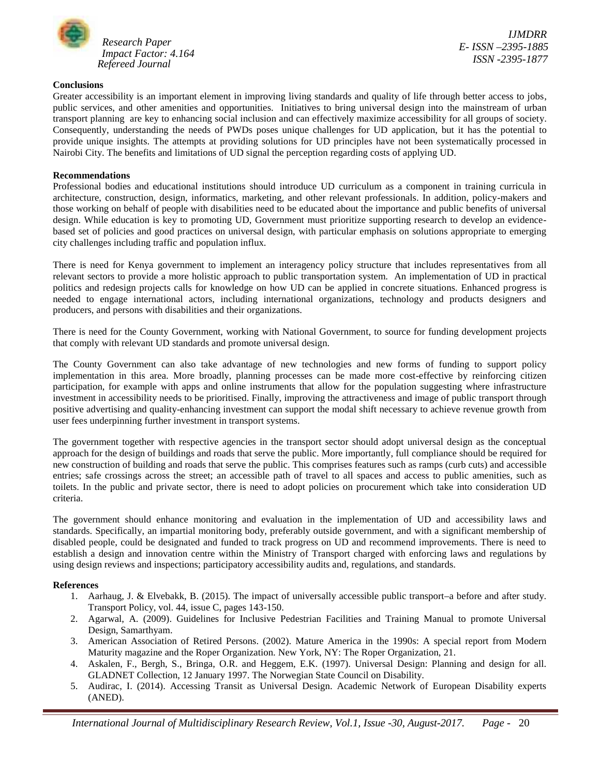

*IJMDRR E- ISSN –2395-1885 ISSN -2395-1877*

## **Conclusions**

Greater accessibility is an important element in improving living standards and quality of life through better access to jobs, public services, and other amenities and opportunities. Initiatives to bring universal design into the mainstream of urban transport planning are key to enhancing social inclusion and can effectively maximize accessibility for all groups of society. Consequently, understanding the needs of PWDs poses unique challenges for UD application, but it has the potential to provide unique insights. The attempts at providing solutions for UD principles have not been systematically processed in Nairobi City. The benefits and limitations of UD signal the perception regarding costs of applying UD.

## **Recommendations**

Professional bodies and educational institutions should introduce UD curriculum as a component in training curricula in architecture, construction, design, informatics, marketing, and other relevant professionals. In addition, policy-makers and those working on behalf of people with disabilities need to be educated about the importance and public benefits of universal design. While education is key to promoting UD, Government must prioritize supporting research to develop an evidence based set of policies and good practices on universal design, with particular emphasis on solutions appropriate to emerging city challenges including traffic and population influx.

There is need for Kenya government to implement an interagency policy structure that includes representatives from all relevant sectors to provide a more holistic approach to public transportation system. An implementation of UD in practical politics and redesign projects calls for knowledge on how UD can be applied in concrete situations. Enhanced progress is needed to engage international actors, including international organizations, technology and products designers and producers, and persons with disabilities and their organizations.

There is need for the County Government, working with National Government, to source for funding development projects that comply with relevant UD standards and promote universal design.

The County Government can also take advantage of new technologies and new forms of funding to support policy implementation in this area. More broadly, planning processes can be made more cost-effective by reinforcing citizen participation, for example with apps and online instruments that allow for the population suggesting where infrastructure investment in accessibility needs to be prioritised. Finally, improving the attractiveness and image of public transport through positive advertising and quality-enhancing investment can support the modal shift necessary to achieve revenue growth from user fees underpinning further investment in transport systems.

The government together with respective agencies in the transport sector should adopt universal design as the conceptual approach for the design of buildings and roads that serve the public. More importantly, full compliance should be required for new construction of building and roads that serve the public. This comprises features such as ramps (curb cuts) and accessible entries; safe crossings across the street; an accessible path of travel to all spaces and access to public amenities, such as toilets. In the public and private sector, there is need to adopt policies on procurement which take into consideration UD criteria.

The government should enhance monitoring and evaluation in the implementation of UD and accessibility laws and standards. Specifically, an impartial monitoring body, preferably outside government, and with a significant membership of disabled people, could be designated and funded to track progress on UD and recommend improvements. There is need to establish a design and innovation centre within the Ministry of Transport charged with enforcing laws and regulations by using design reviews and inspections; participatory accessibility audits and, regulations, and standards.

#### **References**

- 1. Aarhaug, J. & Elvebakk, B. (2015). The impact of universally accessible public transport–a before and after study. Transport Policy, vol. 44, issue C, pages 143-150.
- 2. Agarwal, A. (2009). Guidelines for Inclusive Pedestrian Facilities and Training Manual to promote Universal Design, Samarthyam.
- 3. American Association of Retired Persons. (2002). Mature America in the 1990s: A special report from Modern Maturity magazine and the Roper Organization. New York, NY: The Roper Organization, 21.
- 4. Askalen, F., Bergh, S., Bringa, O.R. and Heggem, E.K. (1997). Universal Design: Planning and design for all. GLADNET Collection, 12 January 1997. The Norwegian State Council on Disability.
- 5. Audirac, I. (2014). Accessing Transit as Universal Design. Academic Network of European Disability experts (ANED).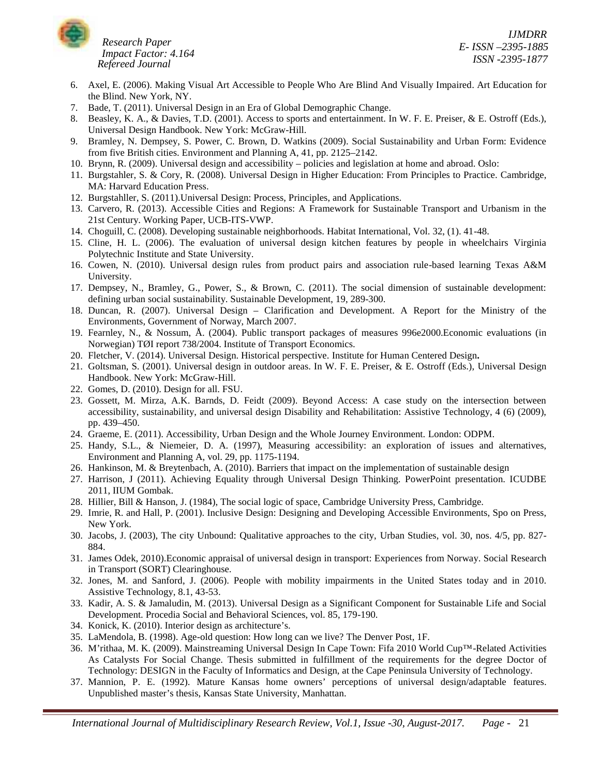

*IJMDRR E- ISSN –2395-1885 ISSN -2395-1877*

- 6. Axel, E. (2006). Making Visual Art Accessible to People Who Are Blind And Visually Impaired. Art Education for the Blind. New York, NY.
- 7. Bade, T. (2011). Universal Design in an Era of Global Demographic Change.
- 8. Beasley, K. A., & Davies, T.D. (2001). Access to sports and entertainment. In W. F. E. Preiser, & E. Ostroff (Eds.), Universal Design Handbook. New York: McGraw-Hill.
- 9. Bramley, N. Dempsey, S. Power, C. Brown, D. Watkins (2009). Social Sustainability and Urban Form: Evidence from five British cities. Environment and Planning A, 41, pp. 2125–2142.
- 10. Brynn, R. (2009). Universal design and accessibility policies and legislation at home and abroad. Oslo:
- 11. Burgstahler, S. & Cory, R. (2008). Universal Design in Higher Education: From Principles to Practice. Cambridge, MA: Harvard Education Press.
- 12. Burgstahller, S. (2011).Universal Design: Process, Principles, and Applications.
- 13. Carvero, R. (2013). Accessible Cities and Regions: A Framework for Sustainable Transport and Urbanism in the 21st Century. Working Paper, UCB-ITS-VWP.
- 14. Choguill, C. (2008). Developing sustainable neighborhoods. Habitat International, Vol. 32, (1). 41-48.
- 15. Cline, H. L. (2006). The evaluation of universal design kitchen features by people in wheelchairs Virginia Polytechnic Institute and State University.
- 16. Cowen, N. (2010). Universal design rules from product pairs and association rule-based learning Texas A&M University.
- 17. Dempsey, N., Bramley, G., Power, S., & Brown, C. (2011). The social dimension of sustainable development: defining urban social sustainability. Sustainable Development, 19, 289-300.
- 18. Duncan, R. (2007). Universal Design Clarification and Development. A Report for the Ministry of the Environments, Government of Norway, March 2007.
- 19. Fearnley, N., & Nossum, Å. (2004). Public transport packages of measures 996e2000.Economic evaluations (in Norwegian) TØI report 738/2004. Institute of Transport Economics.
- 20. Fletcher, V. (2014). Universal Design. Historical perspective. Institute for Human Centered Design**.**
- 21. Goltsman, S. (2001). Universal design in outdoor areas. In W. F. E. Preiser, & E. Ostroff (Eds.), Universal Design Handbook. New York: McGraw-Hill.
- 22. Gomes, D. (2010). Design for all. FSU.
- 23. Gossett, M. Mirza, A.K. Barnds, D. Feidt (2009). Beyond Access: A case study on the intersection between accessibility, sustainability, and universal design Disability and Rehabilitation: Assistive Technology, 4 (6) (2009), pp. 439–450.
- 24. Graeme, E. (2011). Accessibility, Urban Design and the Whole Journey Environment. London: ODPM.
- 25. Handy, S.L., & Niemeier, D. A. (1997), Measuring accessibility: an exploration of issues and alternatives, Environment and Planning A, vol. 29, pp. 1175-1194.
- 26. Hankinson, M. & Breytenbach, A. (2010). Barriers that impact on the implementation of sustainable design
- 27. Harrison, J (2011). Achieving Equality through Universal Design Thinking. PowerPoint presentation. ICUDBE 2011, IIUM Gombak.
- 28. Hillier, Bill & Hanson, J. (1984), The social logic of space, Cambridge University Press, Cambridge.
- 29. Imrie, R. and Hall, P. (2001). Inclusive Design: Designing and Developing Accessible Environments, Spo on Press, New York.
- 30. Jacobs, J. (2003), The city Unbound: Qualitative approaches to the city, Urban Studies, vol. 30, nos. 4/5, pp. 827- 884.
- 31. James Odek, 2010).Economic appraisal of universal design in transport: Experiences from Norway. Social Research in Transport (SORT) Clearinghouse.
- 32. Jones, M. and Sanford, J. (2006). People with mobility impairments in the United States today and in 2010. Assistive Technology, 8.1, 43-53.
- 33. Kadir, A. S. & Jamaludin, M. (2013). Universal Design as a Significant Component for Sustainable Life and Social Development. Procedia Social and Behavioral Sciences, vol. 85, 179-190.
- 34. Konick, K. (2010). Interior design as architecture's.
- 35. LaMendola, B. (1998). Age-old question: How long can we live? The Denver Post, 1F.
- 36. M'rithaa, M. K. (2009). Mainstreaming Universal Design In Cape Town: Fifa 2010 World Cup™-Related Activities As Catalysts For Social Change. Thesis submitted in fulfillment of the requirements for the degree Doctor of Technology: DESIGN in the Faculty of Informatics and Design, at the Cape Peninsula University of Technology.
- 37. Mannion, P. E. (1992). Mature Kansas home owners' perceptions of universal design/adaptable features. Unpublished master's thesis, Kansas State University, Manhattan.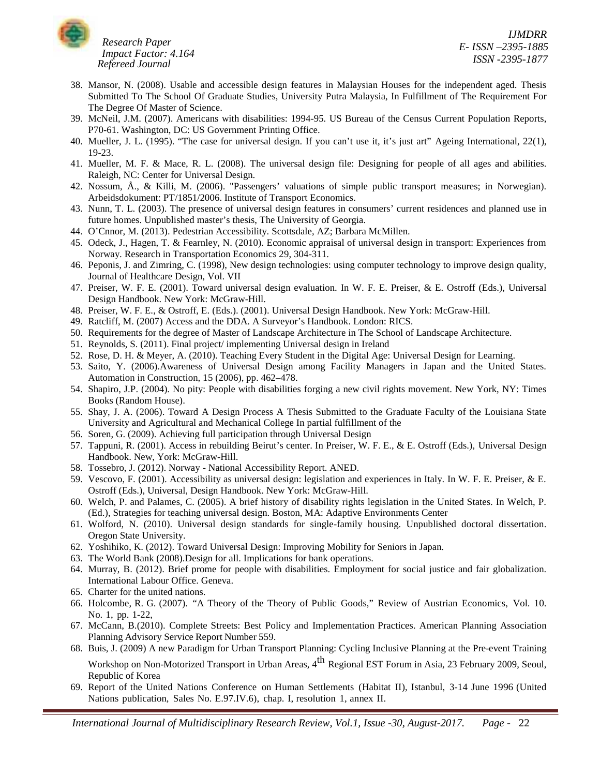

- 38. Mansor, N. (2008). Usable and accessible design features in Malaysian Houses for the independent aged. Thesis Submitted To The School Of Graduate Studies, University Putra Malaysia, In Fulfillment of The Requirement For The Degree Of Master of Science.
- 39. McNeil, J.M. (2007). Americans with disabilities: 1994-95. US Bureau of the Census Current Population Reports, P70-61. Washington, DC: US Government Printing Office.
- 40. Mueller, J. L. (1995). "The case for universal design. If you can't use it, it's just art" Ageing International, 22(1), 19-23.
- 41. Mueller, M. F. & Mace, R. L. (2008). The universal design file: Designing for people of all ages and abilities. Raleigh, NC: Center for Universal Design.
- 42. Nossum, Å., & Killi, M. (2006). "Passengers' valuations of simple public transport measures; in Norwegian). Arbeidsdokument: PT/1851/2006. Institute of Transport Economics.
- 43. Nunn, T. L. (2003). The presence of universal design features in consumers' current residences and planned use in future homes. Unpublished master's thesis, The University of Georgia.
- 44. O'Cnnor, M. (2013). Pedestrian Accessibility. Scottsdale, AZ; Barbara McMillen.
- 45. Odeck, J., Hagen, T. & Fearnley, N. (2010). Economic appraisal of universal design in transport: Experiences from Norway. Research in Transportation Economics 29, 304-311.
- 46. Peponis, J. and Zimring, C. (1998), New design technologies: using computer technology to improve design quality, Journal of Healthcare Design, Vol. VII
- 47. Preiser, W. F. E. (2001). Toward universal design evaluation. In W. F. E. Preiser, & E. Ostroff (Eds.), Universal Design Handbook. New York: McGraw-Hill.
- 48. Preiser, W. F. E., & Ostroff, E. (Eds.). (2001). Universal Design Handbook. New York: McGraw-Hill.
- 49. Ratcliff, M. (2007) Access and the DDA. A Surveyor's Handbook. London: RICS.
- 50. Requirements for the degree of Master of Landscape Architecture in The School of Landscape Architecture.
- 51. Reynolds, S. (2011). Final project/ implementing Universal design in Ireland
- 52. Rose, D. H. & Meyer, A. (2010). Teaching Every Student in the Digital Age: Universal Design for Learning.
- 53. Saito, Y. (2006).Awareness of Universal Design among Facility Managers in Japan and the United States. Automation in Construction, 15 (2006), pp. 462–478.
- 54. Shapiro, J.P. (2004). No pity: People with disabilities forging a new civil rights movement. New York, NY: Times Books (Random House).
- 55. Shay, J. A. (2006). Toward A Design Process A Thesis Submitted to the Graduate Faculty of the Louisiana State University and Agricultural and Mechanical College In partial fulfillment of the
- 56. Soren, G. (2009). Achieving full participation through Universal Design
- 57. Tappuni, R. (2001). Access in rebuilding Beirut's center. In Preiser, W. F. E., & E. Ostroff (Eds.), Universal Design Handbook. New, York: McGraw-Hill.
- 58. Tossebro, J. (2012). Norway National Accessibility Report. ANED.
- 59. Vescovo, F. (2001). Accessibility as universal design: legislation and experiences in Italy. In W. F. E. Preiser, & E. Ostroff (Eds.), Universal, Design Handbook. New York: McGraw-Hill.
- 60. Welch, P. and Palames, C. (2005). A brief history of disability rights legislation in the United States. In Welch, P. (Ed.), Strategies for teaching universal design. Boston, MA: Adaptive Environments Center
- 61. Wolford, N. (2010). Universal design standards for single-family housing. Unpublished doctoral dissertation. Oregon State University.
- 62. Yoshihiko, K. (2012). Toward Universal Design: Improving Mobility for Seniors in Japan.
- 63. The World Bank (2008).Design for all. Implications for bank operations.
- 64. Murray, B. (2012). Brief prome for people with disabilities. Employment for social justice and fair globalization. International Labour Office. Geneva.
- 65. Charter for the united nations.
- 66. Holcombe, R. G. (2007). "A Theory of the Theory of Public Goods," Review of Austrian Economics, Vol. 10. No. 1, pp. 1-22,
- 67. McCann, B.(2010). Complete Streets: Best Policy and Implementation Practices. American Planning Association Planning Advisory Service Report Number 559.
- 68. Buis, J. (2009) A new Paradigm for Urban Transport Planning: Cycling Inclusive Planning at the Pre-event Training Workshop on Non-Motorized Transport in Urban Areas, 4<sup>th</sup> Regional EST Forum in Asia, 23 February 2009, Seoul, Republic of Korea
- 69. Report of the United Nations Conference on Human Settlements (Habitat II), Istanbul, 3-14 June 1996 (United Nations publication, Sales No. E.97.IV.6), chap. I, resolution 1, annex II.